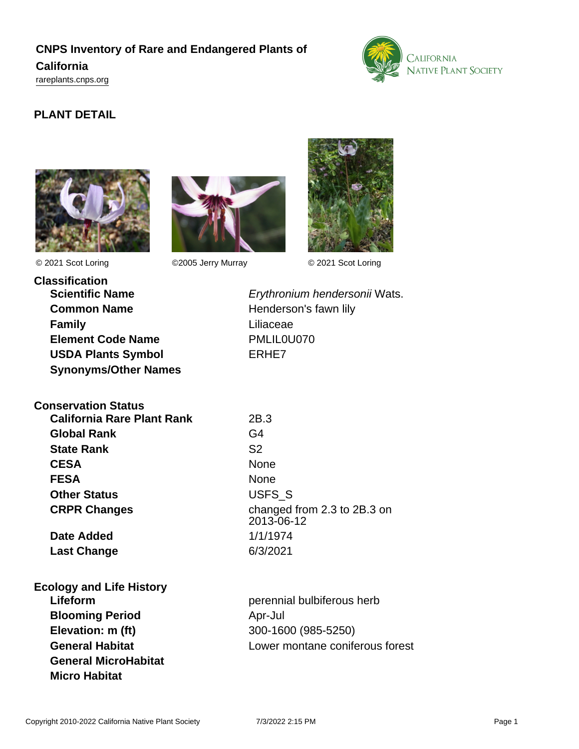# **CNPS Inventory of Rare and Endangered Plants of California**

<rareplants.cnps.org>



## **PLANT DETAIL**





© 2021 Scot Loring ©2005 Jerry Murray © 2021 Scot Loring



**Classification Common Name** Henderson's fawn lily **Family** Liliaceae **Element Code Name** PMLIL0U070 **USDA Plants Symbol** ERHE7 **Synonyms/Other Names**

**Scientific Name Erythronium hendersonii Wats.** 

| <b>Conservation Status</b> |  |
|----------------------------|--|
|----------------------------|--|

**California Rare Plant Rank** 2B.3 **Global Rank** G4 **State Rank** S2 **CESA** None FESA None **Other Status** USFS\_S

**Last Change** 6/3/2021

**CRPR Changes** changed from 2.3 to 2B.3 on 2013-06-12 **Date Added** 1/1/1974

# **Ecology and Life History Blooming Period Apr-Jul Apr-Jul Apr-Jul Apr-Jul Apr-Jul Apr-Jul Apr-Jul Apr-Jul Apr-Jul Apr-Jul Apr-Jul Apr-Jul Apr-Jul Apr-Jul Apr-Jul Apr-Jul Apr-Jul Apr-Jul Apr-Jul Apr-Jul Apr-Jul Apr-Jul Apr-Jul Apr-Jul Apr-Jul Apr-J**

**General MicroHabitat Micro Habitat**

**Lifeform perennial bulbiferous herb perennial bulbiferous herb Elevation: m (ft)** 300-1600 (985-5250) **General Habitat** Lower montane coniferous forest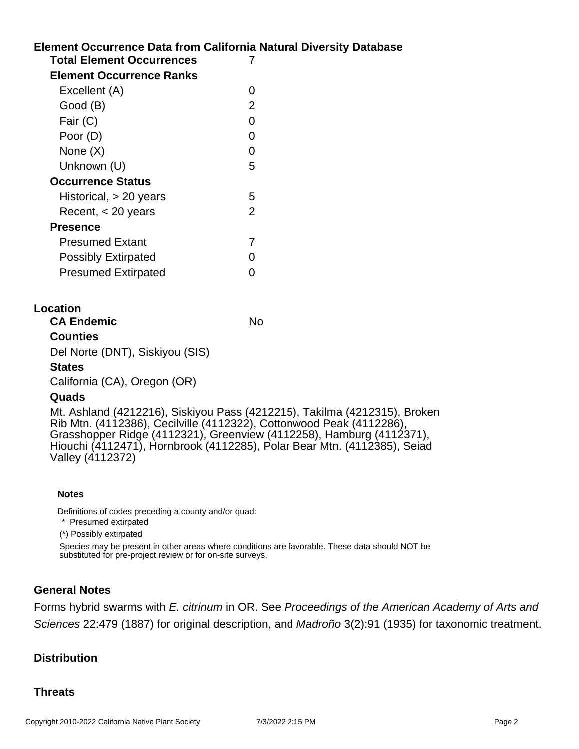## **Element Occurrence Data from California Natural Diversity Database Total Element Occurrences** 7 **Element Occurrence Ranks** Excellent (A) 0 Good (B) 2 Fair (C) 0 Poor (D) 0 None  $(X)$  0 Unknown (U) 5 **Occurrence Status** Historical, > 20 years 5 Recent, < 20 years 2 **Presence** Presumed Extant 7

| FIGSUNGU LAIGHI            |          |
|----------------------------|----------|
| <b>Possibly Extirpated</b> | $\Omega$ |
| <b>Presumed Extirpated</b> | $\Omega$ |

#### **Location**

**CA Endemic** No

#### **Counties**

Del Norte (DNT), Siskiyou (SIS)

#### **States**

California (CA), Oregon (OR)

#### **Quads**

Mt. Ashland (4212216), Siskiyou Pass (4212215), Takilma (4212315), Broken Rib Mtn. (4112386), Cecilville (4112322), Cottonwood Peak (4112286), Grasshopper Ridge (4112321), Greenview (4112258), Hamburg (4112371), Hiouchi (4112471), Hornbrook (4112285), Polar Bear Mtn. (4112385), Seiad Valley (4112372)

#### **Notes**

Definitions of codes preceding a county and/or quad:

\* Presumed extirpated

(\*) Possibly extirpated

Species may be present in other areas where conditions are favorable. These data should NOT be substituted for pre-project review or for on-site surveys.

#### **General Notes**

Forms hybrid swarms with E. citrinum in OR. See Proceedings of the American Academy of Arts and Sciences 22:479 (1887) for original description, and Madroño 3(2):91 (1935) for taxonomic treatment.

#### **Distribution**

#### **Threats**